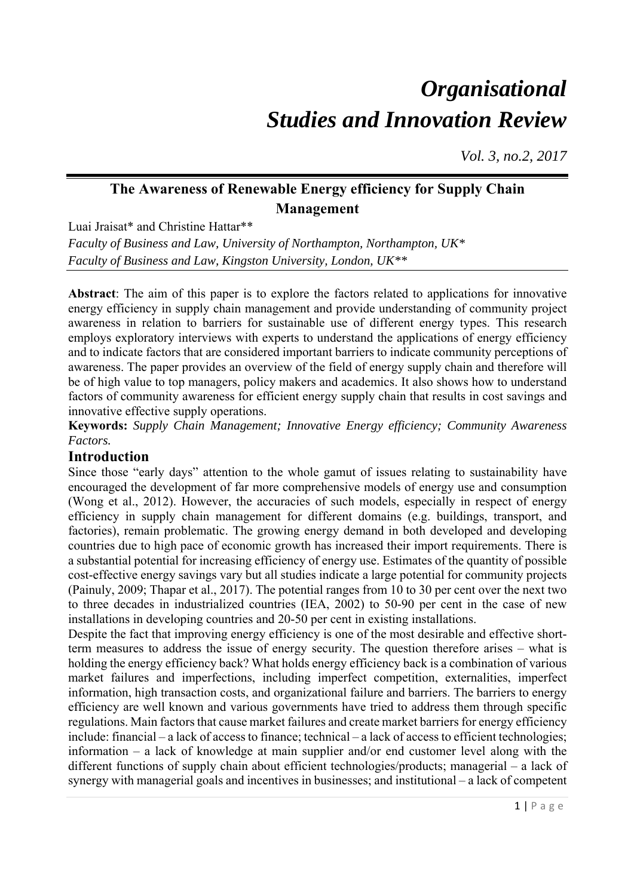# *Organisational Studies and Innovation Review*

*Vol. 3, no.2, 2017*

## **The Awareness of Renewable Energy efficiency for Supply Chain Management**

Luai Jraisat\* and Christine Hattar\*\*

*Faculty of Business and Law, University of Northampton, Northampton, UK\* Faculty of Business and Law, Kingston University, London, UK\*\** 

**Abstract**: The aim of this paper is to explore the factors related to applications for innovative energy efficiency in supply chain management and provide understanding of community project awareness in relation to barriers for sustainable use of different energy types. This research employs exploratory interviews with experts to understand the applications of energy efficiency and to indicate factors that are considered important barriers to indicate community perceptions of awareness. The paper provides an overview of the field of energy supply chain and therefore will be of high value to top managers, policy makers and academics. It also shows how to understand factors of community awareness for efficient energy supply chain that results in cost savings and innovative effective supply operations.

**Keywords:** *Supply Chain Management; Innovative Energy efficiency; Community Awareness Factors.*

### **Introduction**

Since those "early days" attention to the whole gamut of issues relating to sustainability have encouraged the development of far more comprehensive models of energy use and consumption (Wong et al., 2012). However, the accuracies of such models, especially in respect of energy efficiency in supply chain management for different domains (e.g. buildings, transport, and factories), remain problematic. The growing energy demand in both developed and developing countries due to high pace of economic growth has increased their import requirements. There is a substantial potential for increasing efficiency of energy use. Estimates of the quantity of possible cost-effective energy savings vary but all studies indicate a large potential for community projects (Painuly, 2009; Thapar et al., 2017). The potential ranges from 10 to 30 per cent over the next two to three decades in industrialized countries (IEA, 2002) to 50-90 per cent in the case of new installations in developing countries and 20-50 per cent in existing installations.

Despite the fact that improving energy efficiency is one of the most desirable and effective shortterm measures to address the issue of energy security. The question therefore arises – what is holding the energy efficiency back? What holds energy efficiency back is a combination of various market failures and imperfections, including imperfect competition, externalities, imperfect information, high transaction costs, and organizational failure and barriers. The barriers to energy efficiency are well known and various governments have tried to address them through specific regulations. Main factors that cause market failures and create market barriers for energy efficiency include: financial – a lack of access to finance; technical – a lack of access to efficient technologies; information – a lack of knowledge at main supplier and/or end customer level along with the different functions of supply chain about efficient technologies/products; managerial – a lack of synergy with managerial goals and incentives in businesses; and institutional – a lack of competent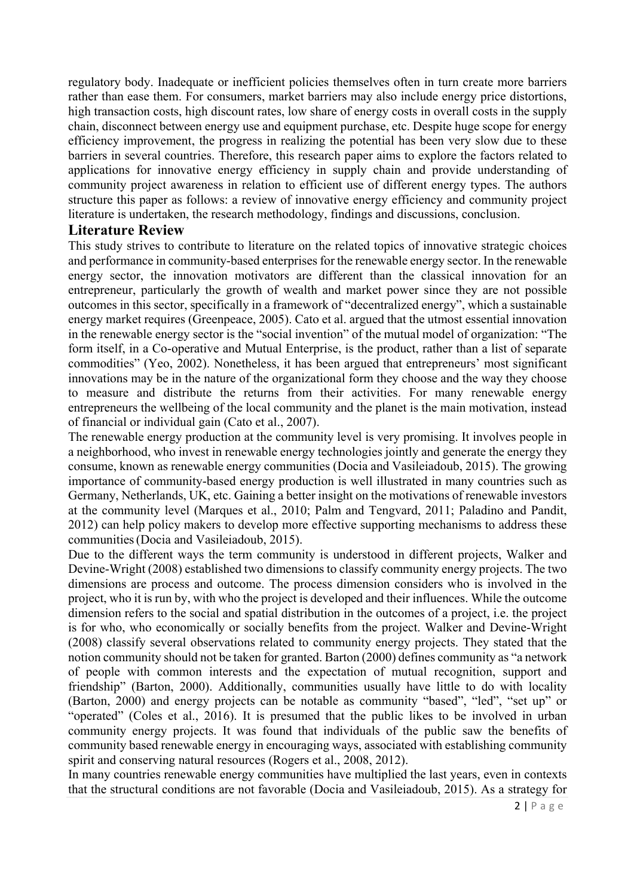regulatory body. Inadequate or inefficient policies themselves often in turn create more barriers rather than ease them. For consumers, market barriers may also include energy price distortions, high transaction costs, high discount rates, low share of energy costs in overall costs in the supply chain, disconnect between energy use and equipment purchase, etc. Despite huge scope for energy efficiency improvement, the progress in realizing the potential has been very slow due to these barriers in several countries. Therefore, this research paper aims to explore the factors related to applications for innovative energy efficiency in supply chain and provide understanding of community project awareness in relation to efficient use of different energy types. The authors structure this paper as follows: a review of innovative energy efficiency and community project literature is undertaken, the research methodology, findings and discussions, conclusion.

#### **Literature Review**

This study strives to contribute to literature on the related topics of innovative strategic choices and performance in community-based enterprises for the renewable energy sector. In the renewable energy sector, the innovation motivators are different than the classical innovation for an entrepreneur, particularly the growth of wealth and market power since they are not possible outcomes in this sector, specifically in a framework of "decentralized energy", which a sustainable energy market requires (Greenpeace, 2005). Cato et al. argued that the utmost essential innovation in the renewable energy sector is the "social invention" of the mutual model of organization: "The form itself, in a Co-operative and Mutual Enterprise, is the product, rather than a list of separate commodities" (Yeo, 2002). Nonetheless, it has been argued that entrepreneurs' most significant innovations may be in the nature of the organizational form they choose and the way they choose to measure and distribute the returns from their activities. For many renewable energy entrepreneurs the wellbeing of the local community and the planet is the main motivation, instead of financial or individual gain (Cato et al., 2007).

The renewable energy production at the community level is very promising. It involves people in a neighborhood, who invest in renewable energy technologies jointly and generate the energy they consume, known as renewable energy communities (Docia and Vasileiadoub, 2015). The growing importance of community-based energy production is well illustrated in many countries such as Germany, Netherlands, UK, etc. Gaining a better insight on the motivations of renewable investors at the community level (Marques et al., 2010; Palm and Tengvard, 2011; Paladino and Pandit, 2012) can help policy makers to develop more effective supporting mechanisms to address these communities(Docia and Vasileiadoub, 2015).

Due to the different ways the term community is understood in different projects, Walker and Devine-Wright (2008) established two dimensions to classify community energy projects. The two dimensions are process and outcome. The process dimension considers who is involved in the project, who it is run by, with who the project is developed and their influences. While the outcome dimension refers to the social and spatial distribution in the outcomes of a project, i.e. the project is for who, who economically or socially benefits from the project. Walker and Devine-Wright (2008) classify several observations related to community energy projects. They stated that the notion community should not be taken for granted. Barton (2000) defines community as "a network of people with common interests and the expectation of mutual recognition, support and friendship" (Barton, 2000). Additionally, communities usually have little to do with locality (Barton, 2000) and energy projects can be notable as community "based", "led", "set up" or "operated" (Coles et al., 2016). It is presumed that the public likes to be involved in urban community energy projects. It was found that individuals of the public saw the benefits of community based renewable energy in encouraging ways, associated with establishing community spirit and conserving natural resources (Rogers et al., 2008, 2012).

In many countries renewable energy communities have multiplied the last years, even in contexts that the structural conditions are not favorable (Docia and Vasileiadoub, 2015). As a strategy for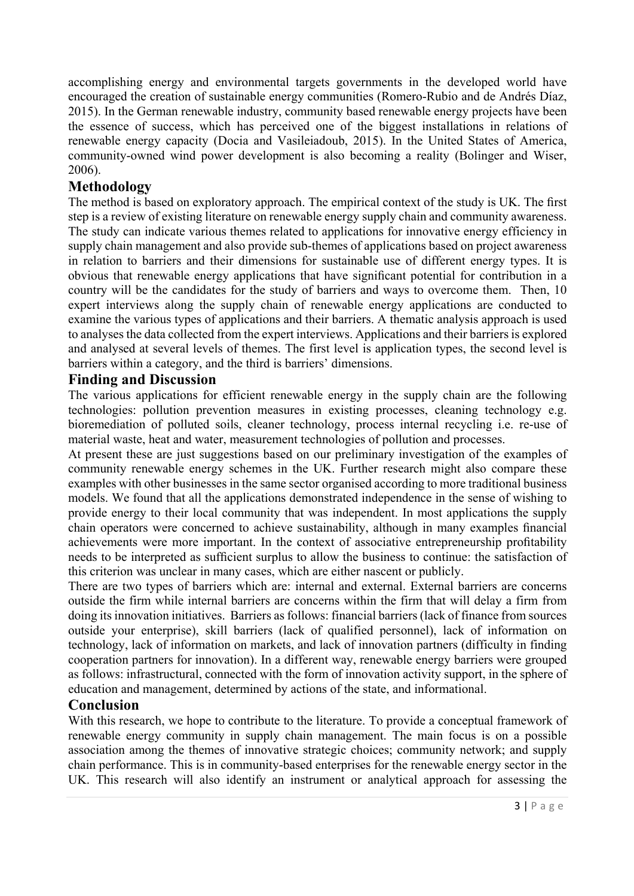accomplishing energy and environmental targets governments in the developed world have encouraged the creation of sustainable energy communities (Romero-Rubio and de Andrés Díaz, 2015). In the German renewable industry, community based renewable energy projects have been the essence of success, which has perceived one of the biggest installations in relations of renewable energy capacity (Docia and Vasileiadoub, 2015). In the United States of America, community-owned wind power development is also becoming a reality (Bolinger and Wiser, 2006).

#### **Methodology**

The method is based on exploratory approach. The empirical context of the study is UK. The first step is a review of existing literature on renewable energy supply chain and community awareness. The study can indicate various themes related to applications for innovative energy efficiency in supply chain management and also provide sub-themes of applications based on project awareness in relation to barriers and their dimensions for sustainable use of different energy types. It is obvious that renewable energy applications that have significant potential for contribution in a country will be the candidates for the study of barriers and ways to overcome them. Then, 10 expert interviews along the supply chain of renewable energy applications are conducted to examine the various types of applications and their barriers. A thematic analysis approach is used to analyses the data collected from the expert interviews. Applications and their barriers is explored and analysed at several levels of themes. The first level is application types, the second level is barriers within a category, and the third is barriers' dimensions.

#### **Finding and Discussion**

The various applications for efficient renewable energy in the supply chain are the following technologies: pollution prevention measures in existing processes, cleaning technology e.g. bioremediation of polluted soils, cleaner technology, process internal recycling i.e. re-use of material waste, heat and water, measurement technologies of pollution and processes.

At present these are just suggestions based on our preliminary investigation of the examples of community renewable energy schemes in the UK. Further research might also compare these examples with other businesses in the same sector organised according to more traditional business models. We found that all the applications demonstrated independence in the sense of wishing to provide energy to their local community that was independent. In most applications the supply chain operators were concerned to achieve sustainability, although in many examples financial achievements were more important. In the context of associative entrepreneurship profitability needs to be interpreted as sufficient surplus to allow the business to continue: the satisfaction of this criterion was unclear in many cases, which are either nascent or publicly.

There are two types of barriers which are: internal and external. External barriers are concerns outside the firm while internal barriers are concerns within the firm that will delay a firm from doing its innovation initiatives. Barriers as follows: financial barriers (lack of finance from sources outside your enterprise), skill barriers (lack of qualified personnel), lack of information on technology, lack of information on markets, and lack of innovation partners (difficulty in finding cooperation partners for innovation). In a different way, renewable energy barriers were grouped as follows: infrastructural, connected with the form of innovation activity support, in the sphere of education and management, determined by actions of the state, and informational.

#### **Conclusion**

With this research, we hope to contribute to the literature. To provide a conceptual framework of renewable energy community in supply chain management. The main focus is on a possible association among the themes of innovative strategic choices; community network; and supply chain performance. This is in community-based enterprises for the renewable energy sector in the UK. This research will also identify an instrument or analytical approach for assessing the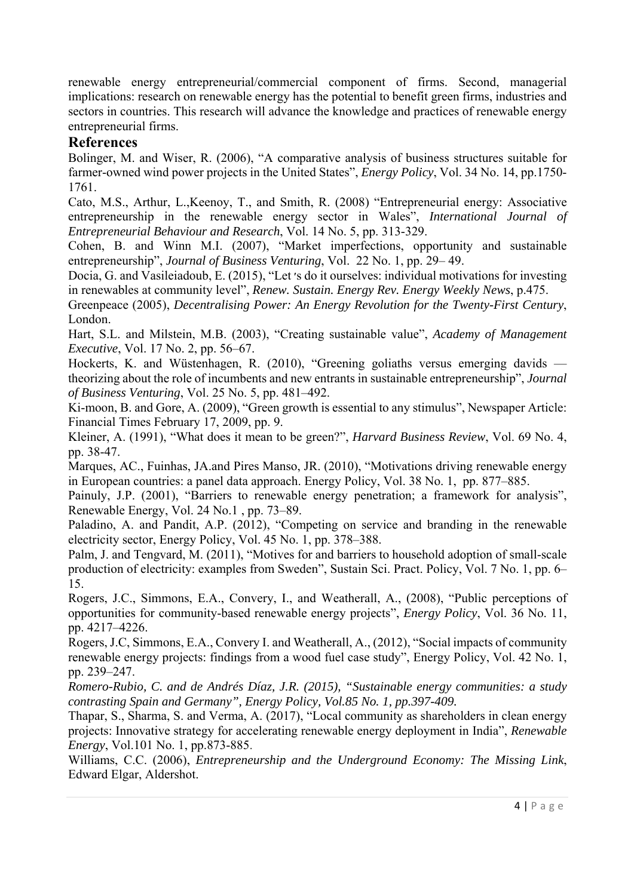renewable energy entrepreneurial/commercial component of firms. Second, managerial implications: research on renewable energy has the potential to benefit green firms, industries and sectors in countries. This research will advance the knowledge and practices of renewable energy entrepreneurial firms.

#### **References**

Bolinger, M. and Wiser, R. (2006), "A comparative analysis of business structures suitable for farmer-owned wind power projects in the United States", *Energy Policy*, Vol. 34 No. 14, pp.1750- 1761.

Cato, M.S., Arthur, L.,Keenoy, T., and Smith, R. (2008) "Entrepreneurial energy: Associative entrepreneurship in the renewable energy sector in Wales", *International Journal of Entrepreneurial Behaviour and Research*, Vol. 14 No. 5, pp. 313-329.

Cohen, B. and Winn M.I. (2007), "Market imperfections, opportunity and sustainable entrepreneurship", *Journal of Business Venturing*, Vol. 22 No. 1, pp. 29– 49.

Docia, G. and Vasileiadoub, E. (2015), "Let ׳s do it ourselves: individual motivations for investing in renewables at community level", *Renew. Sustain. Energy Rev. Energy Weekly News*, p.475.

Greenpeace (2005), *Decentralising Power: An Energy Revolution for the Twenty-First Century*, London.

Hart, S.L. and Milstein, M.B. (2003), "Creating sustainable value", *Academy of Management Executive*, Vol. 17 No. 2, pp. 56–67.

Hockerts, K. and Wüstenhagen, R. (2010), "Greening goliaths versus emerging davids theorizing about the role of incumbents and new entrants in sustainable entrepreneurship", *Journal of Business Venturing*, Vol. 25 No. 5, pp. 481–492.

Ki-moon, B. and Gore, A. (2009), "Green growth is essential to any stimulus", Newspaper Article: Financial Times February 17, 2009, pp. 9.

Kleiner, A. (1991), "What does it mean to be green?", *Harvard Business Review*, Vol. 69 No. 4, pp. 38-47.

Marques, AC., Fuinhas, JA.and Pires Manso, JR. (2010), "Motivations driving renewable energy in European countries: a panel data approach. Energy Policy, Vol. 38 No. 1, pp. 877–885.

Painuly, J.P. (2001), "Barriers to renewable energy penetration; a framework for analysis", Renewable Energy, Vol. 24 No.1 , pp. 73–89.

Paladino, A. and Pandit, A.P. (2012), "Competing on service and branding in the renewable electricity sector, Energy Policy, Vol. 45 No. 1, pp. 378–388.

Palm, J. and Tengvard, M. (2011), "Motives for and barriers to household adoption of small-scale production of electricity: examples from Sweden", Sustain Sci. Pract. Policy, Vol. 7 No. 1, pp. 6– 15.

Rogers, J.C., Simmons, E.A., Convery, I., and Weatherall, A., (2008), "Public perceptions of opportunities for community-based renewable energy projects", *Energy Policy*, Vol. 36 No. 11, pp. 4217–4226.

Rogers, J.C, Simmons, E.A., Convery I. and Weatherall, A., (2012), "Social impacts of community renewable energy projects: findings from a wood fuel case study", Energy Policy, Vol. 42 No. 1, pp. 239–247.

*Romero-Rubio, C. and de Andrés Díaz, J.R. (2015), "Sustainable energy communities: a study contrasting Spain and Germany", Energy Policy, Vol.85 No. 1, pp.397-409.* 

Thapar, S., Sharma, S. and Verma, A. (2017), "Local community as shareholders in clean energy projects: Innovative strategy for accelerating renewable energy deployment in India", *Renewable Energy*, Vol.101 No. 1, pp.873-885.

Williams, C.C. (2006), *Entrepreneurship and the Underground Economy: The Missing Link*, Edward Elgar, Aldershot.